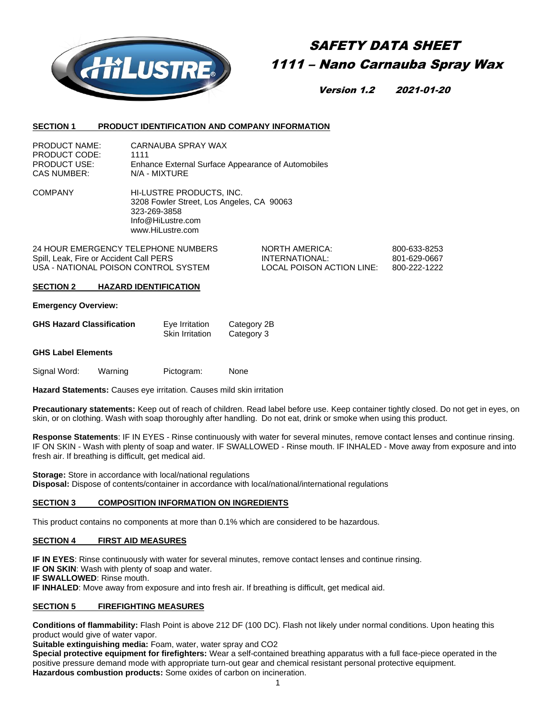

# SAFETY DATA SHEET 1111 – Nano Carnauba Spray Wax

Version 1.2 2021-01-20

#### **SECTION 1 PRODUCT IDENTIFICATION AND COMPANY INFORMATION**

| <b>PRODUCT NAME:</b> | CARNAUBA SPRAY WAX                                 |
|----------------------|----------------------------------------------------|
| PRODUCT CODE:        | 1111                                               |
| <b>PRODUCT USE:</b>  | Enhance External Surface Appearance of Automobiles |
| CAS NUMBER:          | N/A - MIXTURE                                      |

COMPANY HI-LUSTRE PRODUCTS, INC. 3208 Fowler Street, Los Angeles, CA 90063 323-269-3858 Info@HiLustre.com www.HiLustre.com

24 HOUR EMERGENCY TELEPHONE NUMBERS NORTH AMERICA: 800-633-8253 Spill, Leak, Fire or Accident Call PERS **INTERNATIONAL:** 801-629-0667 USA - NATIONAL POISON CONTROL SYSTEM LOCAL POISON ACTION LINE: 800-222-1222

#### **SECTION 2 HAZARD IDENTIFICATION**

#### **Emergency Overview:**

| <b>GHS Hazard Classification</b> | Eye Irritation         | Category 2B |
|----------------------------------|------------------------|-------------|
|                                  | <b>Skin Irritation</b> | Category 3  |

#### **GHS Label Elements**

Signal Word: Warning Pictogram: None

**Hazard Statements:** Causes eye irritation. Causes mild skin irritation

**Precautionary statements:** Keep out of reach of children. Read label before use. Keep container tightly closed. Do not get in eyes, on skin, or on clothing. Wash with soap thoroughly after handling. Do not eat, drink or smoke when using this product.

**Response Statements**: IF IN EYES - Rinse continuously with water for several minutes, remove contact lenses and continue rinsing. IF ON SKIN - Wash with plenty of soap and water. IF SWALLOWED - Rinse mouth. IF INHALED - Move away from exposure and into fresh air. If breathing is difficult, get medical aid.

**Storage:** Store in accordance with local/national regulations **Disposal:** Dispose of contents/container in accordance with local/national/international regulations

## **SECTION 3 COMPOSITION INFORMATION ON INGREDIENTS**

This product contains no components at more than 0.1% which are considered to be hazardous.

## **SECTION 4 FIRST AID MEASURES**

**IF IN EYES**: Rinse continuously with water for several minutes, remove contact lenses and continue rinsing.

**IF ON SKIN**: Wash with plenty of soap and water.

**IF SWALLOWED**: Rinse mouth.

**IF INHALED**: Move away from exposure and into fresh air. If breathing is difficult, get medical aid.

## **SECTION 5 FIREFIGHTING MEASURES**

**Conditions of flammability:** Flash Point is above 212 DF (100 DC). Flash not likely under normal conditions. Upon heating this product would give of water vapor.

**Suitable extinguishing media:** Foam, water, water spray and CO2

**Special protective equipment for firefighters:** Wear a self-contained breathing apparatus with a full face-piece operated in the positive pressure demand mode with appropriate turn-out gear and chemical resistant personal protective equipment. **Hazardous combustion products:** Some oxides of carbon on incineration.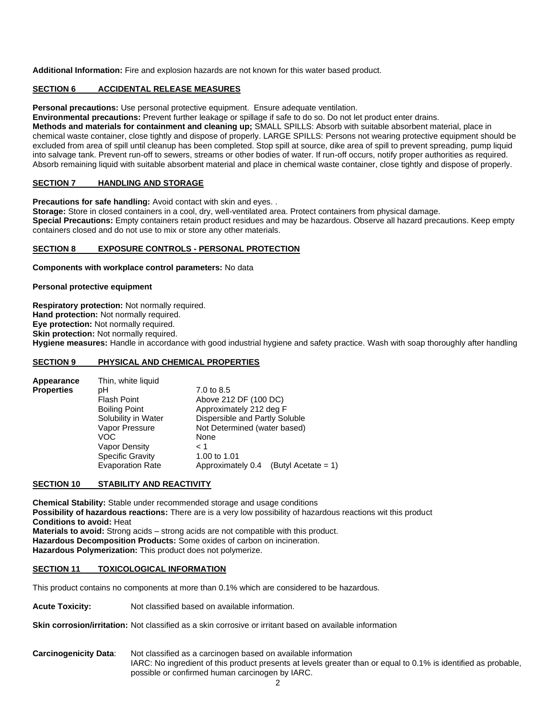**Additional Information:** Fire and explosion hazards are not known for this water based product.

# **SECTION 6 ACCIDENTAL RELEASE MEASURES**

**Personal precautions:** Use personal protective equipment. Ensure adequate ventilation.

**Environmental precautions:** Prevent further leakage or spillage if safe to do so. Do not let product enter drains.

**Methods and materials for containment and cleaning up;** SMALL SPILLS: Absorb with suitable absorbent material, place in chemical waste container, close tightly and dispose of properly. LARGE SPILLS: Persons not wearing protective equipment should be excluded from area of spill until cleanup has been completed. Stop spill at source, dike area of spill to prevent spreading, pump liquid into salvage tank. Prevent run-off to sewers, streams or other bodies of water. If run-off occurs, notify proper authorities as required. Absorb remaining liquid with suitable absorbent material and place in chemical waste container, close tightly and dispose of properly.

# **SECTION 7 HANDLING AND STORAGE**

**Precautions for safe handling:** Avoid contact with skin and eyes...

**Storage:** Store in closed containers in a cool, dry, well-ventilated area. Protect containers from physical damage. **Special Precautions:** Empty containers retain product residues and may be hazardous. Observe all hazard precautions. Keep empty containers closed and do not use to mix or store any other materials.

## **SECTION 8 EXPOSURE CONTROLS - PERSONAL PROTECTION**

**Components with workplace control parameters:** No data

**Personal protective equipment**

**Respiratory protection:** Not normally required. **Hand protection:** Not normally required. **Eye protection:** Not normally required. **Skin protection:** Not normally required. **Hygiene measures:** Handle in accordance with good industrial hygiene and safety practice. Wash with soap thoroughly after handling

# **SECTION 9 PHYSICAL AND CHEMICAL PROPERTIES**

| Appearance        | Thin, white liquid      |                                             |
|-------------------|-------------------------|---------------------------------------------|
| <b>Properties</b> | рH                      | 7.0 to 8.5                                  |
|                   | <b>Flash Point</b>      | Above 212 DF (100 DC)                       |
|                   | <b>Boiling Point</b>    | Approximately 212 deg F                     |
|                   | Solubility in Water     | Dispersible and Partly Soluble              |
|                   | Vapor Pressure          | Not Determined (water based)                |
|                   | VOC                     | None                                        |
|                   | Vapor Density           | < 1                                         |
|                   | <b>Specific Gravity</b> | 1.00 to 1.01                                |
|                   | <b>Evaporation Rate</b> | Approximately 0.4<br>(Butyl Acetate = $1$ ) |

# **SECTION 10 STABILITY AND REACTIVITY**

**Chemical Stability:** Stable under recommended storage and usage conditions **Possibility of hazardous reactions:** There are is a very low possibility of hazardous reactions wit this product **Conditions to avoid:** Heat **Materials to avoid:** Strong acids – strong acids are not compatible with this product. **Hazardous Decomposition Products:** Some oxides of carbon on incineration. **Hazardous Polymerization:** This product does not polymerize.

## **SECTION 11 TOXICOLOGICAL INFORMATION**

This product contains no components at more than 0.1% which are considered to be hazardous.

**Acute Toxicity:** Not classified based on available information.

**Skin corrosion/irritation:** Not classified as a skin corrosive or irritant based on available information

**Carcinogenicity Data**: Not classified as a carcinogen based on available information IARC: No ingredient of this product presents at levels greater than or equal to 0.1% is identified as probable, possible or confirmed human carcinogen by IARC.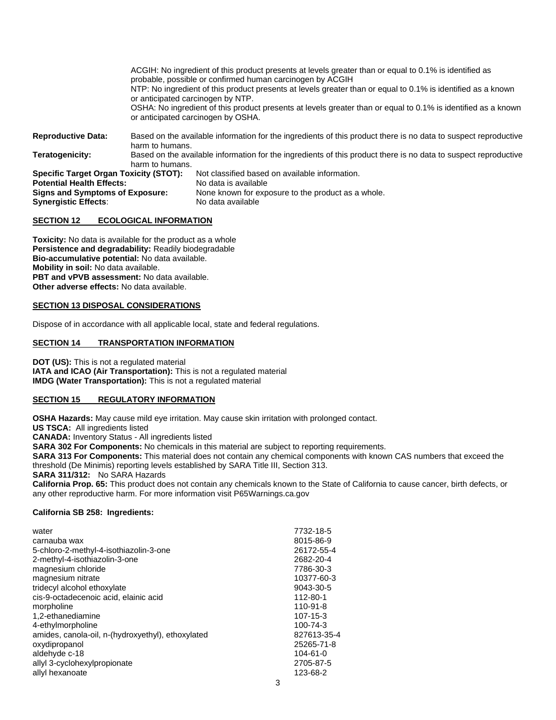|                                                                                                                                                     |                                                                                                                                    | ACGIH: No ingredient of this product presents at levels greater than or equal to 0.1% is identified as<br>probable, possible or confirmed human carcinogen by ACGIH<br>NTP: No ingredient of this product presents at levels greater than or equal to 0.1% is identified as a known<br>or anticipated carcinogen by NTP.<br>OSHA: No ingredient of this product presents at levels greater than or equal to 0.1% is identified as a known<br>or anticipated carcinogen by OSHA. |  |
|-----------------------------------------------------------------------------------------------------------------------------------------------------|------------------------------------------------------------------------------------------------------------------------------------|---------------------------------------------------------------------------------------------------------------------------------------------------------------------------------------------------------------------------------------------------------------------------------------------------------------------------------------------------------------------------------------------------------------------------------------------------------------------------------|--|
| <b>Reproductive Data:</b>                                                                                                                           | Based on the available information for the ingredients of this product there is no data to suspect reproductive<br>harm to humans. |                                                                                                                                                                                                                                                                                                                                                                                                                                                                                 |  |
| Teratogenicity:                                                                                                                                     | Based on the available information for the ingredients of this product there is no data to suspect reproductive<br>harm to humans. |                                                                                                                                                                                                                                                                                                                                                                                                                                                                                 |  |
| <b>Specific Target Organ Toxicity (STOT):</b><br><b>Potential Health Effects:</b><br>Signs and Symptoms of Exposure:<br><b>Synergistic Effects:</b> |                                                                                                                                    | Not classified based on available information.<br>No data is available<br>None known for exposure to the product as a whole.<br>No data available                                                                                                                                                                                                                                                                                                                               |  |

#### **SECTION 12 ECOLOGICAL INFORMATION**

**Toxicity:** No data is available for the product as a whole **Persistence and degradability:** Readily biodegradable **Bio-accumulative potential:** No data available. **Mobility in soil:** No data available. **PBT and vPVB assessment:** No data available. **Other adverse effects:** No data available.

## **SECTION 13 DISPOSAL CONSIDERATIONS**

Dispose of in accordance with all applicable local, state and federal regulations.

# **SECTION 14 TRANSPORTATION INFORMATION**

**DOT (US):** This is not a regulated material **IATA and ICAO (Air Transportation):** This is not a regulated material **IMDG (Water Transportation):** This is not a regulated material

## **SECTION 15 REGULATORY INFORMATION**

**OSHA Hazards:** May cause mild eye irritation. May cause skin irritation with prolonged contact. **US TSCA:** All ingredients listed **CANADA:** Inventory Status - All ingredients listed **SARA 302 For Components:** No chemicals in this material are subject to reporting requirements. **SARA 313 For Components:** This material does not contain any chemical components with known CAS numbers that exceed the threshold (De Minimis) reporting levels established by SARA Title III, Section 313. **SARA 311/312:** No SARA Hazards **California Prop. 65:** This product does not contain any chemicals known to the State of California to cause cancer, birth defects, or any other reproductive harm. For more information visit P65Warnings.ca.gov

## **California SB 258: Ingredients:**

| water                                             | 7732-18-5      |
|---------------------------------------------------|----------------|
| carnauba wax                                      | 8015-86-9      |
| 5-chloro-2-methyl-4-isothiazolin-3-one            | 26172-55-4     |
| 2-methyl-4-isothiazolin-3-one                     | 2682-20-4      |
| magnesium chloride                                | 7786-30-3      |
| magnesium nitrate                                 | 10377-60-3     |
| tridecyl alcohol ethoxylate                       | 9043-30-5      |
| cis-9-octadecenoic acid, elainic acid             | 112-80-1       |
| morpholine                                        | $110 - 91 - 8$ |
| 1,2-ethanediamine                                 | $107 - 15 - 3$ |
| 4-ethylmorpholine                                 | 100-74-3       |
| amides, canola-oil, n-(hydroxyethyl), ethoxylated | 827613-35-4    |
| oxydipropanol                                     | 25265-71-8     |
| aldehyde c-18                                     | $104 - 61 - 0$ |
| allyl 3-cyclohexylpropionate                      | 2705-87-5      |
| allyl hexanoate                                   | 123-68-2       |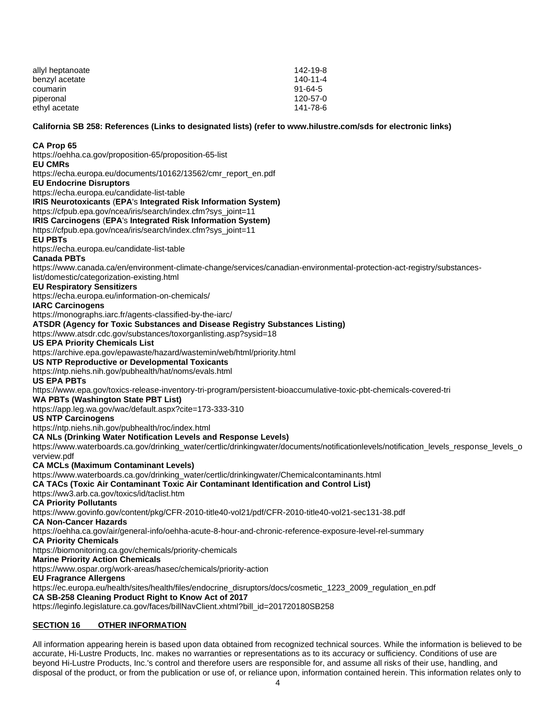| allyl heptanoate | 142-19-8       |
|------------------|----------------|
| benzyl acetate   | $140 - 11 - 4$ |
| coumarin         | 91-64-5        |
| piperonal        | 120-57-0       |
| ethyl acetate    | 141-78-6       |

## **California SB 258: References (Links to designated lists) (refer t[o www.hilustre.com/sds](http://www.hilustre.com/sds) for electronic links)**

#### **CA Prop 65**

<https://oehha.ca.gov/proposition-65/proposition-65-list> **EU CMRs** [https://echa.europa.eu/documents/10162/13562/cmr\\_report\\_en.pdf](https://echa.europa.eu/documents/10162/13562/cmr_report_en.pdf) **EU Endocrine Disruptors** <https://echa.europa.eu/candidate-list-table> **IRIS Neurotoxicants** (**EPA**'s **Integrated Risk Information System)** [https://cfpub.epa.gov/ncea/iris/search/index.cfm?sys\\_joint=11](https://cfpub.epa.gov/ncea/iris/search/index.cfm?sys_joint=11) **IRIS Carcinogens** (**EPA**'s **Integrated Risk Information System)** [https://cfpub.epa.gov/ncea/iris/search/index.cfm?sys\\_joint=11](https://cfpub.epa.gov/ncea/iris/search/index.cfm?sys_joint=11) **EU PBTs** <https://echa.europa.eu/candidate-list-table> **Canada PBTs** [https://www.canada.ca/en/environment-climate-change/services/canadian-environmental-protection-act-registry/substances](https://www.canada.ca/en/environment-climate-change/services/canadian-environmental-protection-act-registry/substances-list/domestic/categorization-existing.html)[list/domestic/categorization-existing.html](https://www.canada.ca/en/environment-climate-change/services/canadian-environmental-protection-act-registry/substances-list/domestic/categorization-existing.html) **EU Respiratory Sensitizers** <https://echa.europa.eu/information-on-chemicals/> **IARC Carcinogens** <https://monographs.iarc.fr/agents-classified-by-the-iarc/> **ATSDR (Agency for Toxic Substances and Disease Registry Substances Listing)** <https://www.atsdr.cdc.gov/substances/toxorganlisting.asp?sysid=18> **US EPA Priority Chemicals List** <https://archive.epa.gov/epawaste/hazard/wastemin/web/html/priority.html> **US NTP Reproductive or Developmental Toxicants** <https://ntp.niehs.nih.gov/pubhealth/hat/noms/evals.html> **US EPA PBTs** <https://www.epa.gov/toxics-release-inventory-tri-program/persistent-bioaccumulative-toxic-pbt-chemicals-covered-tri> **WA PBTs (Washington State PBT List)** <https://app.leg.wa.gov/wac/default.aspx?cite=173-333-310> **US NTP Carcinogens** <https://ntp.niehs.nih.gov/pubhealth/roc/index.html> **CA NLs (Drinking Water Notification Levels and Response Levels)** [https://www.waterboards.ca.gov/drinking\\_water/certlic/drinkingwater/documents/notificationlevels/notification\\_levels\\_response\\_levels\\_o](https://www.waterboards.ca.gov/drinking_water/certlic/drinkingwater/documents/notificationlevels/notification_levels_response_levels_overview.pdf) [verview.pdf](https://www.waterboards.ca.gov/drinking_water/certlic/drinkingwater/documents/notificationlevels/notification_levels_response_levels_overview.pdf) **CA MCLs (Maximum Contaminant Levels)** [https://www.waterboards.ca.gov/drinking\\_water/certlic/drinkingwater/Chemicalcontaminants.html](https://www.waterboards.ca.gov/drinking_water/certlic/drinkingwater/Chemicalcontaminants.html) **CA TACs (Toxic Air Contaminant Toxic Air Contaminant Identification and Control List)** <https://ww3.arb.ca.gov/toxics/id/taclist.htm> **CA Priority Pollutants** <https://www.govinfo.gov/content/pkg/CFR-2010-title40-vol21/pdf/CFR-2010-title40-vol21-sec131-38.pdf> **CA Non-Cancer Hazards** <https://oehha.ca.gov/air/general-info/oehha-acute-8-hour-and-chronic-reference-exposure-level-rel-summary> **CA Priority Chemicals** <https://biomonitoring.ca.gov/chemicals/priority-chemicals> **Marine Priority Action Chemicals**  <https://www.ospar.org/work-areas/hasec/chemicals/priority-action> **EU Fragrance Allergens**  [https://ec.europa.eu/health/sites/health/files/endocrine\\_disruptors/docs/cosmetic\\_1223\\_2009\\_regulation\\_en.pdf](https://ec.europa.eu/health/sites/health/files/endocrine_disruptors/docs/cosmetic_%20%20%20%20%20%20%20%20%20%20%20%20%20%20%20%20%20%20%20%20%20%20%20%20%20%20%20%20%20%20%20%20%20%20%20%20%20%20%20%20%20%20%20%20%20%20%20%20%20%20%20%20%20%20%20%20%20%20%20%20%20%20%20%20%20%20%20%20%20%20%20%20%20%20%20%20%20%20%20%20%20%20%201223_2009_regulation_en.pdf) **CA SB-258 Cleaning Product Right to Know Act of 2017** [https://leginfo.legislature.ca.gov/faces/billNavClient.xhtml?bill\\_id=201720180SB258](https://leginfo.legislature.ca.gov/faces/billNavClient.xhtml?bill_id=201720180SB258)

# **SECTION 16 OTHER INFORMATION**

All information appearing herein is based upon data obtained from recognized technical sources. While the information is believed to be accurate, Hi-Lustre Products, Inc. makes no warranties or representations as to its accuracy or sufficiency. Conditions of use are beyond Hi-Lustre Products, Inc.'s control and therefore users are responsible for, and assume all risks of their use, handling, and disposal of the product, or from the publication or use of, or reliance upon, information contained herein. This information relates only to